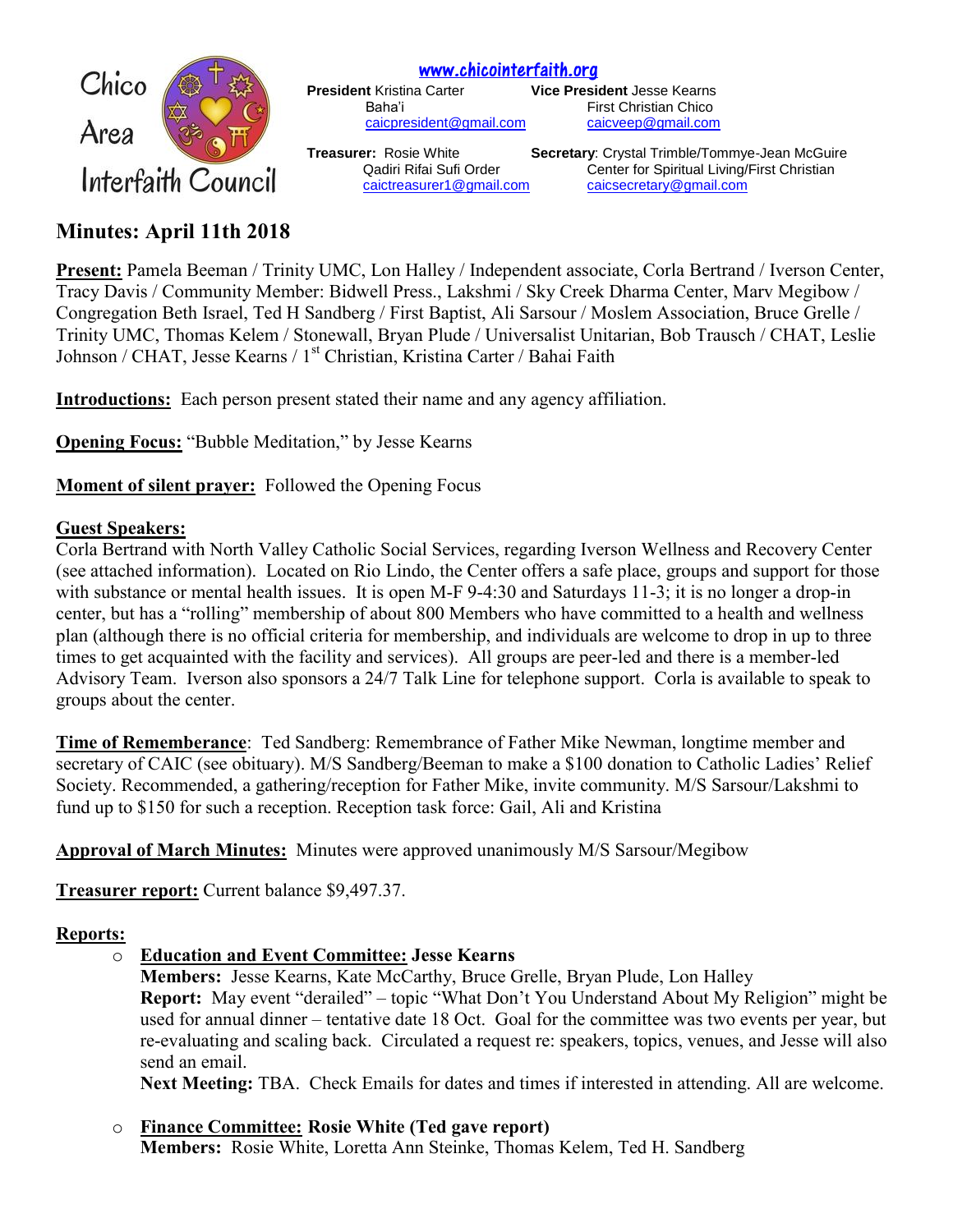

[www.chicointerfaith.org](file:///C:/Users/CSL/Downloads/www.chicointerfaith.org)

**Vice President Jesse Kearns** Baha'i **Eirst Christian Chico** [caicpresident@gmail.com](mailto:caicpresident@gmail.com) [caicveep@gmail.com](mailto:caicveep@gmail.com)

**Treasurer:** Rosie White **Secretary**: Crystal Trimble/Tommye-Jean McGuire Qadiri Rifai Sufi Order Center for Spiritual Living/First Christian [caictreasurer1@gmail.com](mailto:caictreasurer1@gmail.com) [caicsecretary@gmail.com](mailto:caicsecretary@gmail.com)

## **Minutes: April 11th 2018**

**Present:** Pamela Beeman / Trinity UMC, Lon Halley / Independent associate, Corla Bertrand / Iverson Center, Tracy Davis / Community Member: Bidwell Press., Lakshmi / Sky Creek Dharma Center, Marv Megibow / Congregation Beth Israel, Ted H Sandberg / First Baptist, Ali Sarsour / Moslem Association, Bruce Grelle / Trinity UMC, Thomas Kelem / Stonewall, Bryan Plude / Universalist Unitarian, Bob Trausch / CHAT, Leslie Johnson / CHAT, Jesse Kearns / 1<sup>st</sup> Christian, Kristina Carter / Bahai Faith

**Introductions:** Each person present stated their name and any agency affiliation.

**Opening Focus:** "Bubble Meditation," by Jesse Kearns

**Moment of silent prayer:** Followed the Opening Focus

#### **Guest Speakers:**

Corla Bertrand with North Valley Catholic Social Services, regarding Iverson Wellness and Recovery Center (see attached information). Located on Rio Lindo, the Center offers a safe place, groups and support for those with substance or mental health issues. It is open M-F 9-4:30 and Saturdays 11-3; it is no longer a drop-in center, but has a "rolling" membership of about 800 Members who have committed to a health and wellness plan (although there is no official criteria for membership, and individuals are welcome to drop in up to three times to get acquainted with the facility and services). All groups are peer-led and there is a member-led Advisory Team. Iverson also sponsors a 24/7 Talk Line for telephone support. Corla is available to speak to groups about the center.

**Time of Rememberance**: Ted Sandberg: Remembrance of Father Mike Newman, longtime member and secretary of CAIC (see obituary). M/S Sandberg/Beeman to make a \$100 donation to Catholic Ladies' Relief Society. Recommended, a gathering/reception for Father Mike, invite community. M/S Sarsour/Lakshmi to fund up to \$150 for such a reception. Reception task force: Gail, Ali and Kristina

**Approval of March Minutes:** Minutes were approved unanimously M/S Sarsour/Megibow

**Treasurer report:** Current balance \$9,497.37.

#### **Reports:**

o **Education and Event Committee: Jesse Kearns**

**Members:** Jesse Kearns, Kate McCarthy, Bruce Grelle, Bryan Plude, Lon Halley **Report:** May event "derailed" – topic "What Don't You Understand About My Religion" might be used for annual dinner – tentative date 18 Oct. Goal for the committee was two events per year, but re-evaluating and scaling back. Circulated a request re: speakers, topics, venues, and Jesse will also send an email.

**Next Meeting:** TBA. Check Emails for dates and times if interested in attending. All are welcome.

#### o **Finance Committee: Rosie White (Ted gave report) Members:** Rosie White, Loretta Ann Steinke, Thomas Kelem, Ted H. Sandberg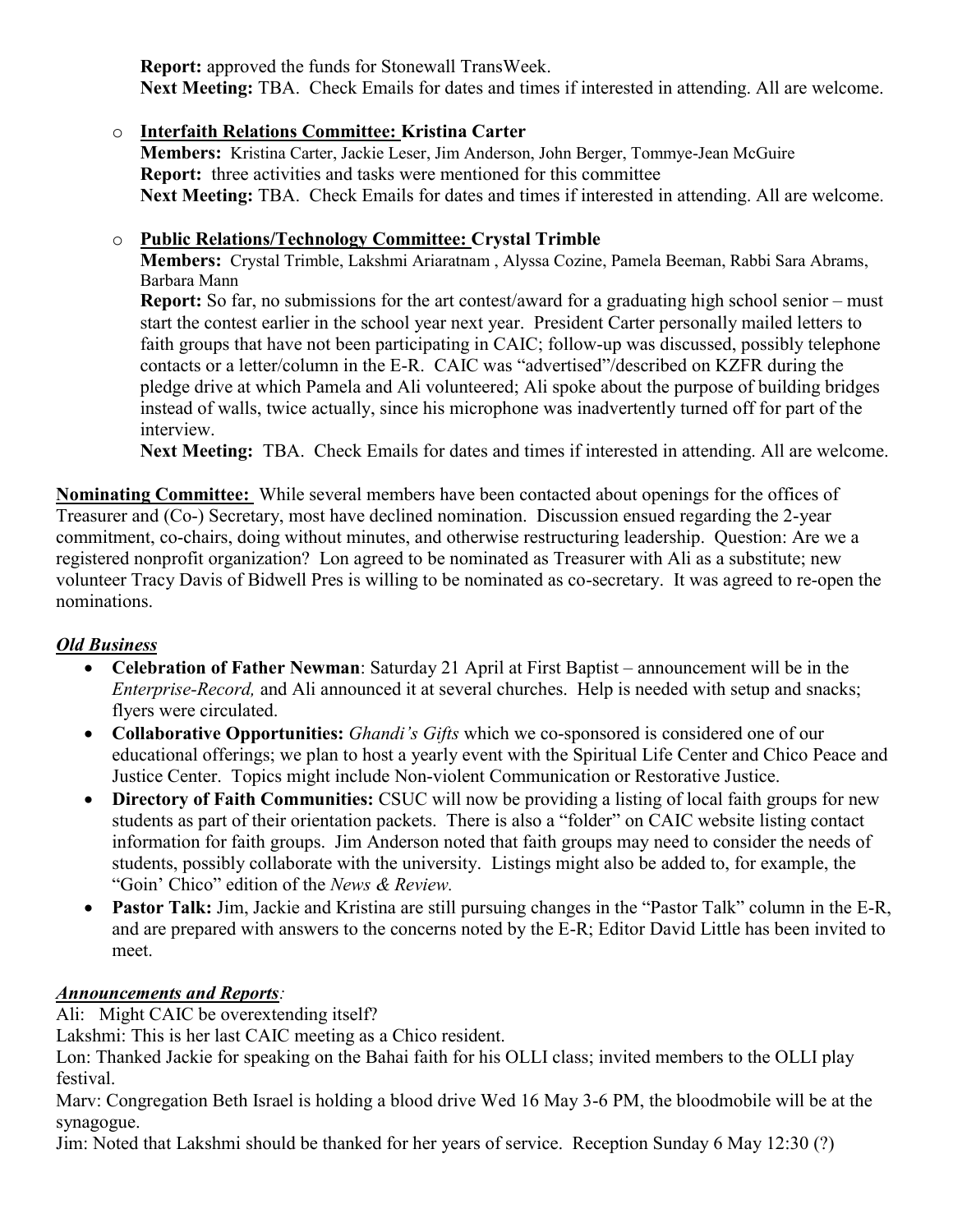**Report:** approved the funds for Stonewall TransWeek. **Next Meeting:** TBA. Check Emails for dates and times if interested in attending. All are welcome.

### o **Interfaith Relations Committee: Kristina Carter**

**Members:** Kristina Carter, Jackie Leser, Jim Anderson, John Berger, Tommye-Jean McGuire **Report:** three activities and tasks were mentioned for this committee **Next Meeting:** TBA. Check Emails for dates and times if interested in attending. All are welcome.

### o **Public Relations/Technology Committee: Crystal Trimble**

**Members:** Crystal Trimble, Lakshmi Ariaratnam , Alyssa Cozine, Pamela Beeman, Rabbi Sara Abrams, Barbara Mann

**Report:** So far, no submissions for the art contest/award for a graduating high school senior – must start the contest earlier in the school year next year. President Carter personally mailed letters to faith groups that have not been participating in CAIC; follow-up was discussed, possibly telephone contacts or a letter/column in the E-R. CAIC was "advertised"/described on KZFR during the pledge drive at which Pamela and Ali volunteered; Ali spoke about the purpose of building bridges instead of walls, twice actually, since his microphone was inadvertently turned off for part of the interview.

**Next Meeting:** TBA. Check Emails for dates and times if interested in attending. All are welcome.

**Nominating Committee:** While several members have been contacted about openings for the offices of Treasurer and (Co-) Secretary, most have declined nomination. Discussion ensued regarding the 2-year commitment, co-chairs, doing without minutes, and otherwise restructuring leadership. Question: Are we a registered nonprofit organization? Lon agreed to be nominated as Treasurer with Ali as a substitute; new volunteer Tracy Davis of Bidwell Pres is willing to be nominated as co-secretary. It was agreed to re-open the nominations.

### *Old Business*

- **Celebration of Father Newman**: Saturday 21 April at First Baptist announcement will be in the *Enterprise-Record,* and Ali announced it at several churches. Help is needed with setup and snacks; flyers were circulated.
- **Collaborative Opportunities:** *Ghandi's Gifts* which we co-sponsored is considered one of our educational offerings; we plan to host a yearly event with the Spiritual Life Center and Chico Peace and Justice Center. Topics might include Non-violent Communication or Restorative Justice.
- **Directory of Faith Communities:** CSUC will now be providing a listing of local faith groups for new students as part of their orientation packets. There is also a "folder" on CAIC website listing contact information for faith groups. Jim Anderson noted that faith groups may need to consider the needs of students, possibly collaborate with the university. Listings might also be added to, for example, the "Goin' Chico" edition of the *News & Review.*
- **Pastor Talk:** Jim, Jackie and Kristina are still pursuing changes in the "Pastor Talk" column in the E-R, and are prepared with answers to the concerns noted by the E-R; Editor David Little has been invited to meet.

### *Announcements and Reports:*

Ali: Might CAIC be overextending itself?

Lakshmi: This is her last CAIC meeting as a Chico resident.

Lon: Thanked Jackie for speaking on the Bahai faith for his OLLI class; invited members to the OLLI play festival.

Marv: Congregation Beth Israel is holding a blood drive Wed 16 May 3-6 PM, the bloodmobile will be at the synagogue.

Jim: Noted that Lakshmi should be thanked for her years of service. Reception Sunday 6 May 12:30 (?)